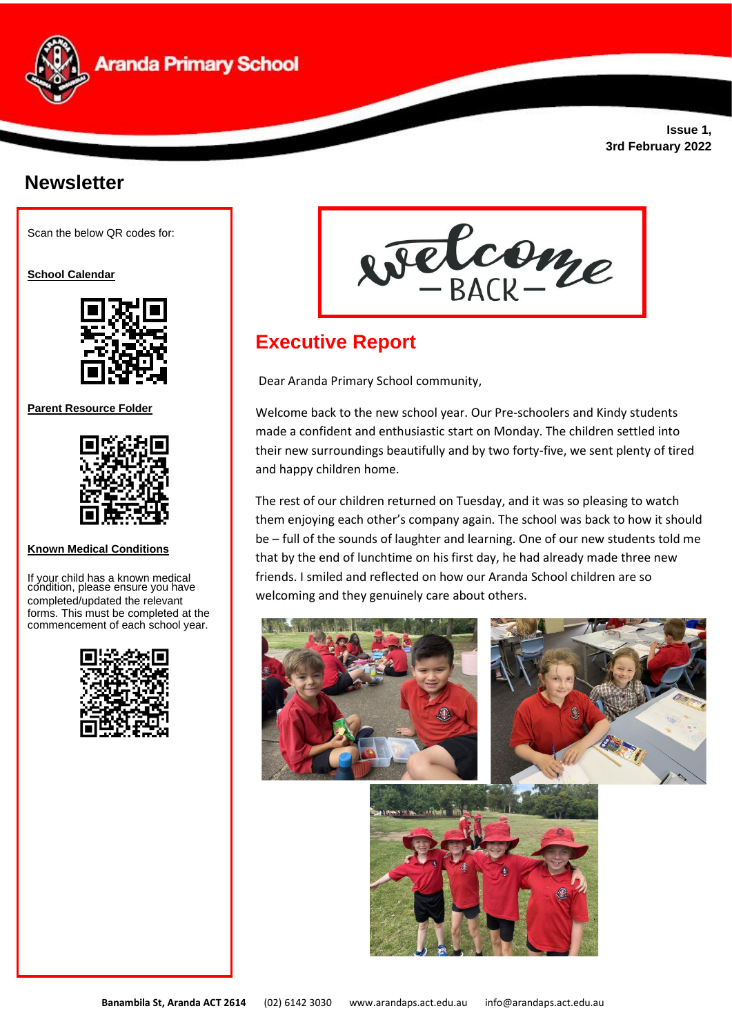

**Issue 1, 3rd February 2022**

# **Newsletter**

Scan the below QR codes for:

**School Calendar** 



**Parent Resource Folder**



**Known Medical Conditions** 

If your child has a known medical condition, please ensure you have completed/updated the relevant forms. This must be completed at the commencement of each school year.





# **Executive Report**

Dear Aranda Primary School community,

Welcome back to the new school year. Our Pre-schoolers and Kindy students made a confident and enthusiastic start on Monday. The children settled into their new surroundings beautifully and by two forty-five, we sent plenty of tired and happy children home.

The rest of our children returned on Tuesday, and it was so pleasing to watch them enjoying each other's company again. The school was back to how it should be – full of the sounds of laughter and learning. One of our new students told me that by the end of lunchtime on his first day, he had already made three new friends. I smiled and reflected on how our Aranda School children are so welcoming and they genuinely care about others.

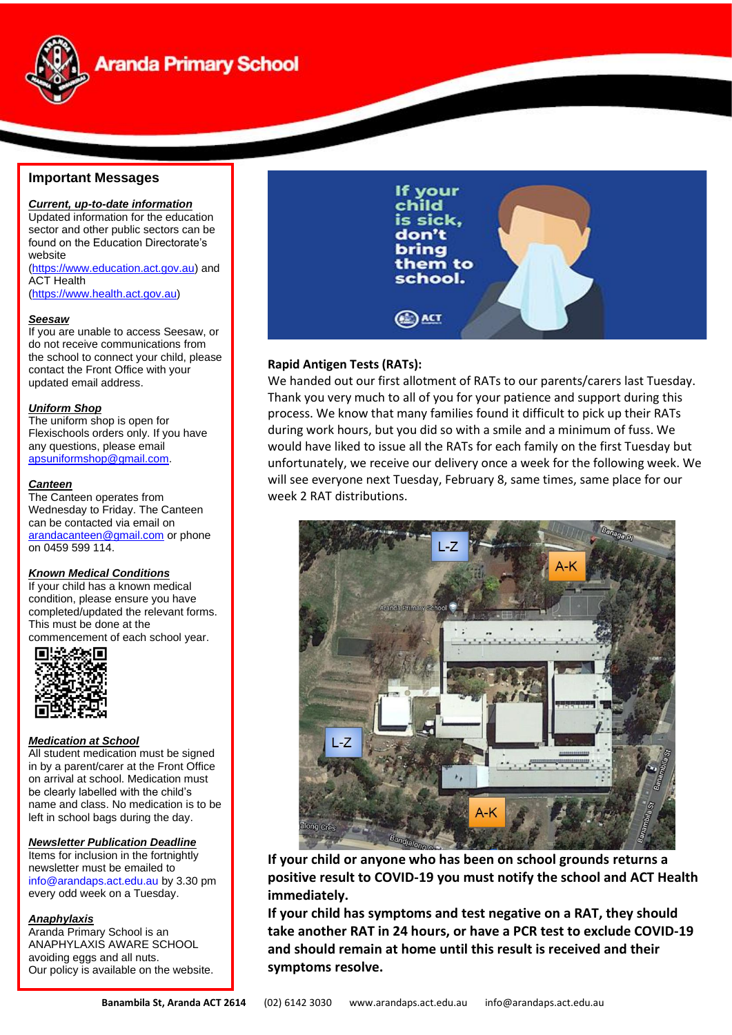

# **Aranda Primary School**

# **Important Messages**

# *Current, up-to-date information*

Updated information for the education sector and other public sectors can be found on the Education Directorate's website [\(https://www.education.act.gov.au\)](https://www.education.act.gov.au/) and ACT Health

[\(https://www.health.act.gov.au\)](https://www.health.act.gov.au/)

#### *Seesaw*

If you are unable to access Seesaw, or do not receive communications from the school to connect your child, please contact the Front Office with your updated email address.

#### *Uniform Shop*

The uniform shop is open for Flexischools orders only. If you have any questions, please email [apsuniformshop@gmail.com.](mailto:apsuniformshop@gmail.com)

#### *Canteen*

The Canteen operates from Wednesday to Friday. The Canteen can be contacted via email on [arandacanteen@gmail.com](mailto:arandacanteen@gmail.com) or phone on 0459 599 114.

#### *Known Medical Conditions*

If your child has a known medical condition, please ensure you have completed/updated the relevant forms. This must be done at the

commencement of each school year.<br> **■监察官** 



#### *Medication at School*

All student medication must be signed in by a parent/carer at the Front Office on arrival at school. Medication must be clearly labelled with the child's name and class. No medication is to be left in school bags during the day.

### *Newsletter Publication Deadline*

Items for inclusion in the fortnightly newsletter must be emailed to [info@arandaps.act.edu.au](mailto:info@arandaps.act.edu.au) by 3.30 pm every odd week on a Tuesday.

#### *Anaphylaxis*

Aranda Primary School is an ANAPHYLAXIS AWARE SCHOOL avoiding eggs and all nuts. Our policy is available on the website.



# **Rapid Antigen Tests (RATs):**

We handed out our first allotment of RATs to our parents/carers last Tuesday. Thank you very much to all of you for your patience and support during this process. We know that many families found it difficult to pick up their RATs during work hours, but you did so with a smile and a minimum of fuss. We would have liked to issue all the RATs for each family on the first Tuesday but unfortunately, we receive our delivery once a week for the following week. We will see everyone next Tuesday, February 8, same times, same place for our week 2 RAT distributions.



**If your child or anyone who has been on school grounds returns a positive result to COVID-19 you must notify the school and ACT Health immediately.**

**If your child has symptoms and test negative on a RAT, they should take another RAT in 24 hours, or have a PCR test to exclude COVID-19 and should remain at home until this result is received and their symptoms resolve.**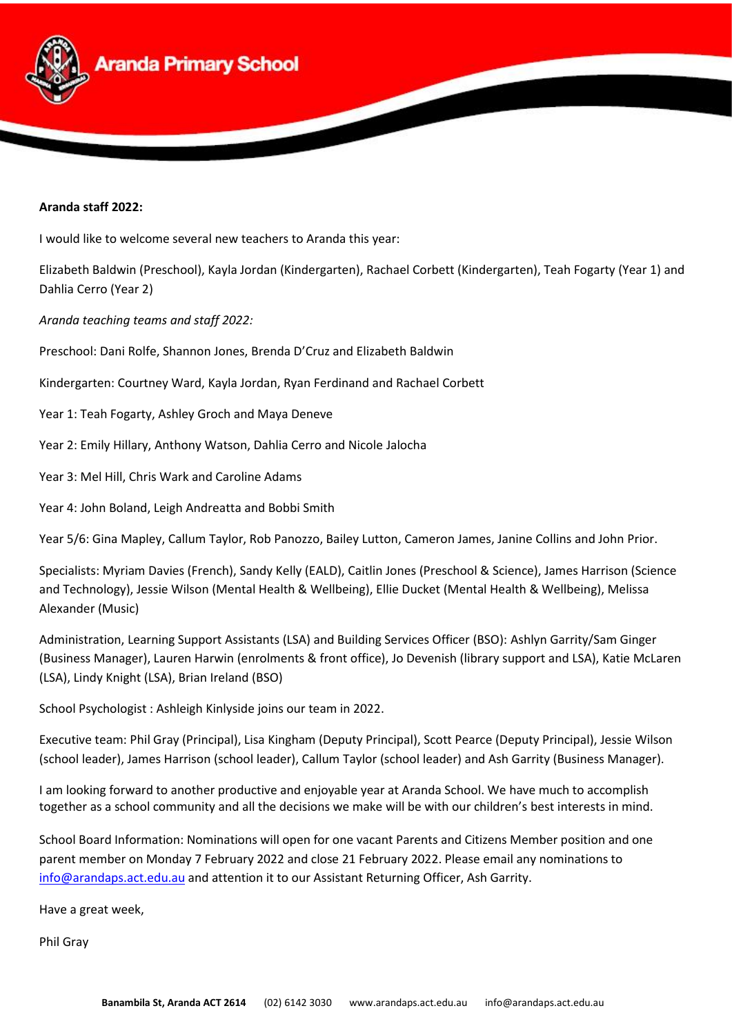

## **Aranda staff 2022:**

I would like to welcome several new teachers to Aranda this year:

Elizabeth Baldwin (Preschool), Kayla Jordan (Kindergarten), Rachael Corbett (Kindergarten), Teah Fogarty (Year 1) and Dahlia Cerro (Year 2)

*Aranda teaching teams and staff 2022:*

Preschool: Dani Rolfe, Shannon Jones, Brenda D'Cruz and Elizabeth Baldwin

Kindergarten: Courtney Ward, Kayla Jordan, Ryan Ferdinand and Rachael Corbett

Year 1: Teah Fogarty, Ashley Groch and Maya Deneve

Year 2: Emily Hillary, Anthony Watson, Dahlia Cerro and Nicole Jalocha

Year 3: Mel Hill, Chris Wark and Caroline Adams

Year 4: John Boland, Leigh Andreatta and Bobbi Smith

Year 5/6: Gina Mapley, Callum Taylor, Rob Panozzo, Bailey Lutton, Cameron James, Janine Collins and John Prior.

Specialists: Myriam Davies (French), Sandy Kelly (EALD), Caitlin Jones (Preschool & Science), James Harrison (Science and Technology), Jessie Wilson (Mental Health & Wellbeing), Ellie Ducket (Mental Health & Wellbeing), Melissa Alexander (Music)

Administration, Learning Support Assistants (LSA) and Building Services Officer (BSO): Ashlyn Garrity/Sam Ginger (Business Manager), Lauren Harwin (enrolments & front office), Jo Devenish (library support and LSA), Katie McLaren (LSA), Lindy Knight (LSA), Brian Ireland (BSO)

School Psychologist : Ashleigh Kinlyside joins our team in 2022.

Executive team: Phil Gray (Principal), Lisa Kingham (Deputy Principal), Scott Pearce (Deputy Principal), Jessie Wilson (school leader), James Harrison (school leader), Callum Taylor (school leader) and Ash Garrity (Business Manager).

I am looking forward to another productive and enjoyable year at Aranda School. We have much to accomplish together as a school community and all the decisions we make will be with our children's best interests in mind.

School Board Information: Nominations will open for one vacant Parents and Citizens Member position and one parent member on Monday 7 February 2022 and close 21 February 2022. Please email any nominations to [info@arandaps.act.edu.au](mailto:info@arandaps.act.edu.au) and attention it to our Assistant Returning Officer, Ash Garrity.

Have a great week,

Phil Gray